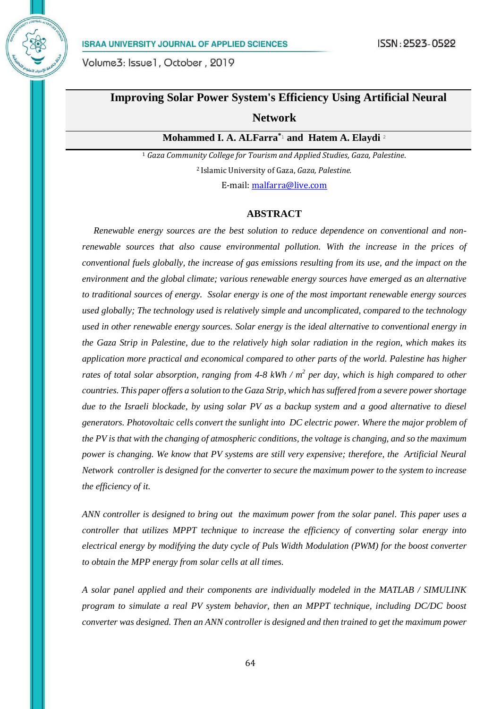

# **Improving Solar Power System's Efficiency Using Artificial Neural**

# **Network**

**Mohammed I. A. ALFarra\***<sup>1</sup> **and Hatem A. Elaydi** <sup>2</sup>

<sup>1</sup> *Gaza Community College for Tourism and Applied Studies, Gaza, Palestine*. <sup>2</sup>Islamic University of Gaza, *Gaza, Palestine.*

E-mail: [malfarra@live.com](mailto:malfarra@live.com)

#### **ABSTRACT**

 *Renewable energy sources are the best solution to reduce dependence on conventional and nonrenewable sources that also cause environmental pollution. With the increase in the prices of conventional fuels globally, the increase of gas emissions resulting from its use, and the impact on the environment and the global climate; various renewable energy sources have emerged as an alternative to traditional sources of energy. Ssolar energy is one of the most important renewable energy sources used globally; The technology used is relatively simple and uncomplicated, compared to the technology used in other renewable energy sources. Solar energy is the ideal alternative to conventional energy in the Gaza Strip in Palestine, due to the relatively high solar radiation in the region, which makes its application more practical and economical compared to other parts of the world. Palestine has higher*  rates of total solar absorption, ranging from 4-8 kWh / m<sup>2</sup> per day, which is high compared to other *countries. This paper offers a solution to the Gaza Strip, which has suffered from a severe power shortage due to the Israeli blockade, by using solar PV as a backup system and a good alternative to diesel generators. Photovoltaic cells convert the sunlight into DC electric power. Where the major problem of the PV is that with the changing of atmospheric conditions, the voltage is changing, and so the maximum power is changing. We know that PV systems are still very expensive; therefore, the Artificial Neural Network controller is designed for the converter to secure the maximum power to the system to increase the efficiency of it.*

*ANN controller is designed to bring out the maximum power from the solar panel. This paper uses a controller that utilizes MPPT technique to increase the efficiency of converting solar energy into electrical energy by modifying the duty cycle of Puls Width Modulation (PWM) for the boost converter to obtain the MPP energy from solar cells at all times.*

*A solar panel applied and their components are individually modeled in the MATLAB / SIMULINK program to simulate a real PV system behavior, then an MPPT technique, including DC/DC boost converter was designed. Then an ANN controller is designed and then trained to get the maximum power*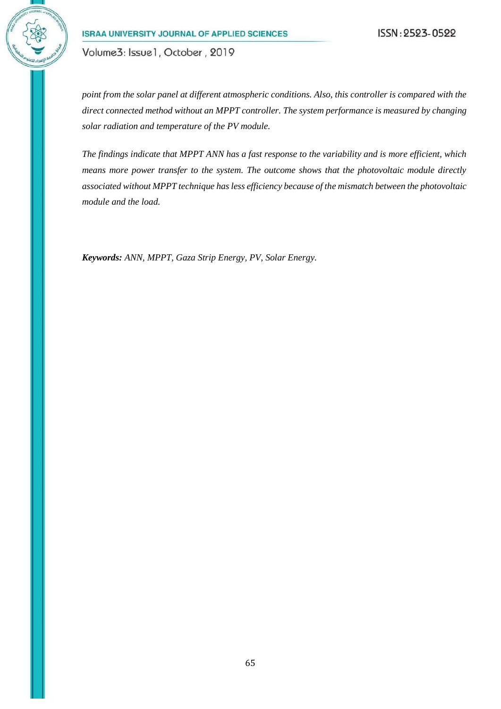Volume3: Issue1, October, 2019

*point from the solar panel at different atmospheric conditions. Also, this controller is compared with the direct connected method without an MPPT controller. The system performance is measured by changing solar radiation and temperature of the PV module.* 

*The findings indicate that MPPT ANN has a fast response to the variability and is more efficient, which means more power transfer to the system. The outcome shows that the photovoltaic module directly associated without MPPT technique has less efficiency because of the mismatch between the photovoltaic module and the load.*

*Keywords: ANN, MPPT, Gaza Strip Energy, PV, Solar Energy.*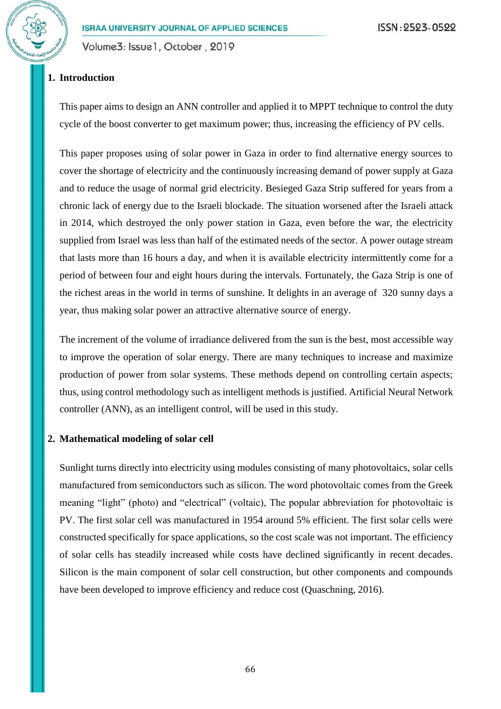# **1. Introduction**

This paper aims to design an ANN controller and applied it to MPPT technique to control the duty cycle of the boost converter to get maximum power; thus, increasing the efficiency of PV cells.

This paper proposes using of solar power in Gaza in order to find alternative energy sources to cover the shortage of electricity and the continuously increasing demand of power supply at Gaza and to reduce the usage of normal grid electricity. Besieged Gaza Strip suffered for years from a chronic lack of energy due to the Israeli blockade. The situation worsened after the Israeli attack in 2014, which destroyed the only power station in Gaza, even before the war, the electricity supplied from Israel was less than half of the estimated needs of the sector. A power outage stream that lasts more than 16 hours a day, and when it is available electricity intermittently come for a period of between four and eight hours during the intervals. Fortunately, the Gaza Strip is one of the richest areas in the world in terms of sunshine. It delights in an average of 320 sunny days a year, thus making solar power an attractive alternative source of energy.

The increment of the volume of irradiance delivered from the sun is the best, most accessible way to improve the operation of solar energy. There are many techniques to increase and maximize production of power from solar systems. These methods depend on controlling certain aspects; thus, using control methodology such as intelligent methods is justified. Artificial Neural Network controller (ANN), as an intelligent control, will be used in this study.

## **2. Mathematical modeling of solar cell**

Sunlight turns directly into electricity using modules consisting of many photovoltaics, solar cells manufactured from semiconductors such as silicon. The word photovoltaic comes from the Greek meaning "light" (photo) and "electrical" (voltaic), The popular abbreviation for photovoltaic is PV. The first solar cell was manufactured in 1954 around 5% efficient. The first solar cells were constructed specifically for space applications, so the cost scale was not important. The efficiency of solar cells has steadily increased while costs have declined significantly in recent decades. Silicon is the main component of solar cell construction, but other components and compounds have been developed to improve efficiency and reduce cost [\(Quaschning, 2016\)](#page-23-0).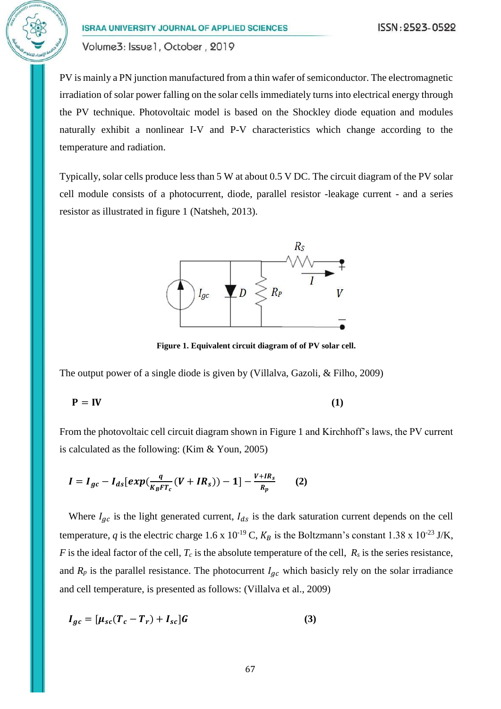PV is mainly a PN junction manufactured from a thin wafer of semiconductor. The electromagnetic irradiation of solar power falling on the solar cells immediately turns into electrical energy through the PV technique. Photovoltaic model is based on the Shockley diode equation and modules naturally exhibit a nonlinear I-V and P-V characteristics which change according to the temperature and radiation.

Typically, solar cells produce less than 5 W at about 0.5 V DC. The circuit diagram of the PV solar cell module consists of a photocurrent, diode, parallel resistor -leakage current - and a series resistor as illustrated in figure 1 [\(Natsheh, 2013\)](#page-23-1).



**Figure 1. Equivalent circuit diagram of of PV solar cell.**

The output power of a single diode is given by [\(Villalva, Gazoli, & Filho, 2009\)](#page-23-2)

$$
\mathbf{P} = \mathbf{IV} \tag{1}
$$

From the photovoltaic cell circuit diagram shown in Figure 1 and Kirchhoff's laws, the PV current is calculated as the following: [\(Kim & Youn, 2005\)](#page-23-3)

$$
I = I_{gc} - I_{ds} [exp(\frac{q}{K_B FT_c}(V + IR_s)) - 1] - \frac{V + IR_s}{R_p}
$$
 (2)

Where  $I_{ac}$  is the light generated current,  $I_{ds}$  is the dark saturation current depends on the cell temperature, *q* is the electric charge 1.6 x 10<sup>-19</sup> C,  $K_B$  is the Boltzmann's constant 1.38 x 10<sup>-23</sup> J/K, *F* is the ideal factor of the cell,  $T_c$  is the absolute temperature of the cell,  $R_s$  is the series resistance, and  $R_p$  is the parallel resistance. The photocurrent  $I_{qc}$  which basicly rely on the solar irradiance and cell temperature, is presented as follows: [\(Villalva et al., 2009\)](#page-23-2)

$$
I_{gc} = [\mu_{sc}(T_c - T_r) + I_{sc}]G \tag{3}
$$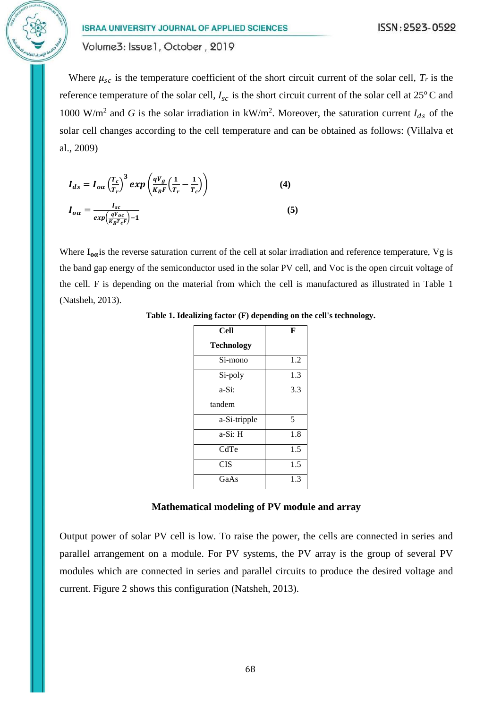Where  $\mu_{sc}$  is the temperature coefficient of the short circuit current of the solar cell,  $T_r$  is the reference temperature of the solar cell,  $I_{sc}$  is the short circuit current of the solar cell at 25<sup>o</sup>C and 1000 W/m<sup>2</sup> and *G* is the solar irradiation in kW/m<sup>2</sup>. Moreover, the saturation current  $I_{ds}$  of the solar cell changes according to the cell temperature and can be obtained as follows: [\(Villalva et](#page-23-2)  [al., 2009\)](#page-23-2)

$$
I_{ds} = I_{o\alpha} \left(\frac{T_c}{T_r}\right)^3 exp\left(\frac{qV_g}{K_B F} \left(\frac{1}{T_r} - \frac{1}{T_c}\right)\right)
$$
(4)  

$$
I_{o\alpha} = \frac{I_{sc}}{exp\left(\frac{qV_{oc}}{K_B T_c F}\right) - 1}
$$
(5)

Where  $I_{\alpha\alpha}$  is the reverse saturation current of the cell at solar irradiation and reference temperature, Vg is the band gap energy of the semiconductor used in the solar PV cell, and Voc is the open circuit voltage of the cell. F is depending on the material from which the cell is manufactured as illustrated in Table 1 [\(Natsheh, 2013\)](#page-23-1).

| Cell              | F   |
|-------------------|-----|
| <b>Technology</b> |     |
| Si-mono           | 1.2 |
| Si-poly           | 1.3 |
| a-Si:             | 3.3 |
| tandem            |     |
| a-Si-tripple      | 5   |
| a-Si: H           | 1.8 |
| CdTe              | 1.5 |
| <b>CIS</b>        | 1.5 |
| GaAs              | 1.3 |

**Table 1. Idealizing factor (F) depending on the cell's technology.**

#### **Mathematical modeling of PV module and array**

Output power of solar PV cell is low. To raise the power, the cells are connected in series and parallel arrangement on a module. For PV systems, the PV array is the group of several PV modules which are connected in series and parallel circuits to produce the desired voltage and current. Figure 2 shows this configuration [\(Natsheh, 2013\)](#page-23-1).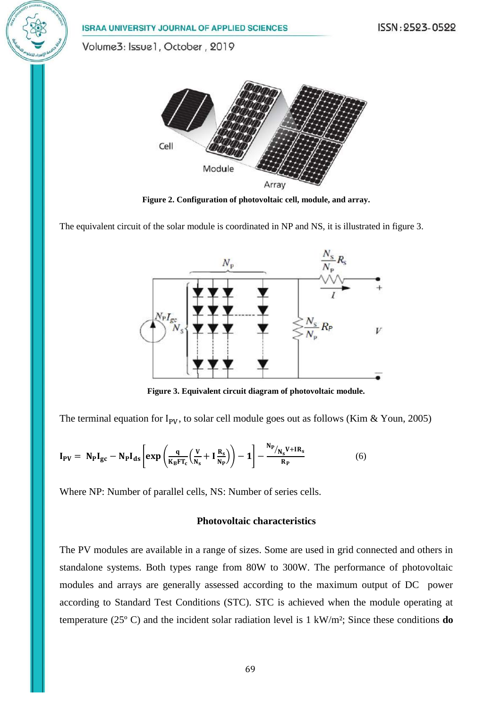ISSN: 2523-0522 **ISRAA UNIVERSITY JOURNAL OF APPLIED SCIENCES** Volume3: Issue1, October, 2019 Cell Module Array

**Figure 2. Configuration of photovoltaic cell, module, and array.**

The equivalent circuit of the solar module is coordinated in NP and NS, it is illustrated in figure 3.



**Figure 3. Equivalent circuit diagram of photovoltaic module.**

The terminal equation for  $I_{PV}$ , to solar cell module goes out as follows [\(Kim & Youn, 2005\)](#page-23-3)

$$
I_{PV} = N_P I_{gc} - N_P I_{ds} \left[ exp \left( \frac{q}{K_B F T_c} \left( \frac{V}{N_s} + I \frac{R_s}{N_P} \right) \right) - 1 \right] - \frac{N_P_{N_s} V + IR_s}{R_P}
$$
(6)

Where NP: Number of parallel cells, NS: Number of series cells.

### **Photovoltaic characteristics**

The PV modules are available in a range of sizes. Some are used in grid connected and others in standalone systems. Both types range from 80W to 300W. The performance of photovoltaic modules and arrays are generally assessed according to the maximum output of DC power according to Standard Test Conditions (STC). STC is achieved when the module operating at temperature (25º C) and the incident solar radiation level is 1 kW/m²; Since these conditions **do**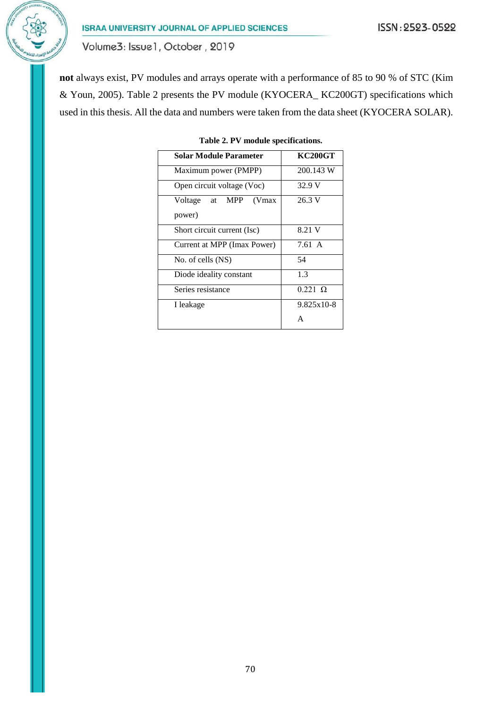Volume3: Issue1, October, 2019

**not** always exist, PV modules and arrays operate with a performance of 85 to 90 % of STC [\(Kim](#page-23-3)  [& Youn, 2005\)](#page-23-3). Table 2 presents the PV module (KYOCERA\_ KC200GT) specifications which used in this thesis. All the data and numbers were taken from the data sheet [\(KYOCERA SOLAR\)](#page-23-4).

| Solar Module Parameter      | <b>KC200GT</b>      |  |  |
|-----------------------------|---------------------|--|--|
| Maximum power (PMPP)        | 200.143 W<br>32.9 V |  |  |
| Open circuit voltage (Voc)  |                     |  |  |
| Voltage at MPP<br>(Vmax)    | 26.3 V              |  |  |
| power)                      |                     |  |  |
| Short circuit current (Isc) | 8.21 V              |  |  |
| Current at MPP (Imax Power) | 7.61 A              |  |  |
| No. of cells (NS)           | 54                  |  |  |
| Diode ideality constant     | 1.3                 |  |  |
| Series resistance           | $0.221 \Omega$      |  |  |
| I leakage                   | 9.825x10-8          |  |  |
|                             |                     |  |  |

**Table 2. PV module specifications.**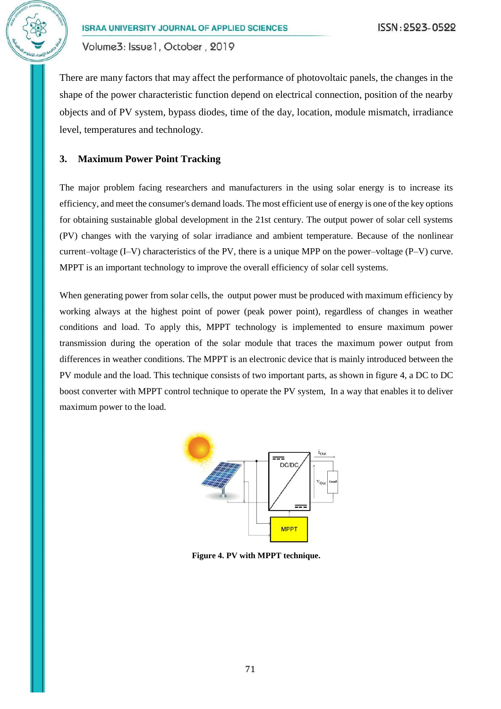

There are many factors that may affect the performance of photovoltaic panels, the changes in the shape of the power characteristic function depend on electrical connection, position of the nearby objects and of PV system, bypass diodes, time of the day, location, module mismatch, irradiance level, temperatures and technology.

## **3. Maximum Power Point Tracking**

The major problem facing researchers and manufacturers in the using solar energy is to increase its efficiency, and meet the consumer's demand loads. The most efficient use of energy is one of the key options for obtaining sustainable global development in the 21st century. The output power of solar cell systems (PV) changes with the varying of solar irradiance and ambient temperature. Because of the nonlinear current–voltage  $(I-V)$  characteristics of the PV, there is a unique MPP on the power–voltage  $(P-V)$  curve. MPPT is an important technology to improve the overall efficiency of solar cell systems.

When generating power from solar cells, the output power must be produced with maximum efficiency by working always at the highest point of power (peak power point), regardless of changes in weather conditions and load. To apply this, MPPT technology is implemented to ensure maximum power transmission during the operation of the solar module that traces the maximum power output from differences in weather conditions. The MPPT is an electronic device that is mainly introduced between the PV module and the load. This technique consists of two important parts, as shown in figure 4, a DC to DC boost converter with MPPT control technique to operate the PV system, In a way that enables it to deliver maximum power to the load.



**Figure 4. PV with MPPT technique.**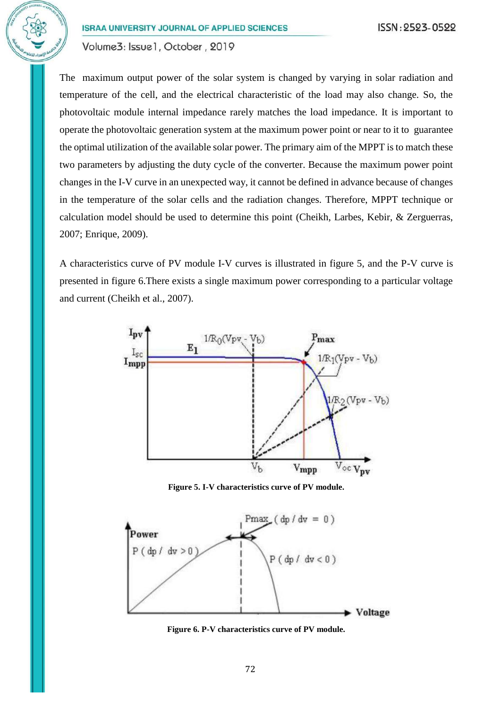The maximum output power of the solar system is changed by varying in solar radiation and temperature of the cell, and the electrical characteristic of the load may also change. So, the photovoltaic module internal impedance rarely matches the load impedance. It is important to operate the photovoltaic generation system at the maximum power point or near to it to guarantee the optimal utilization of the available solar power. The primary aim of the MPPT is to match these two parameters by adjusting the duty cycle of the converter. Because the maximum power point changes in the I-V curve in an unexpected way, it cannot be defined in advance because of changes in the temperature of the solar cells and the radiation changes. Therefore, MPPT technique or calculation model should be used to determine this point [\(Cheikh, Larbes, Kebir, & Zerguerras,](#page-23-5)  [2007;](#page-23-5) [Enrique, 2009\)](#page-23-6).

A characteristics curve of PV module I-V curves is illustrated in figure 5, and the P-V curve is presented in figure 6.There exists a single maximum power corresponding to a particular voltage and current [\(Cheikh et al., 2007\)](#page-23-5).



**Figure 5. I-V characteristics curve of PV module.**



**Figure 6. P-V characteristics curve of PV module.**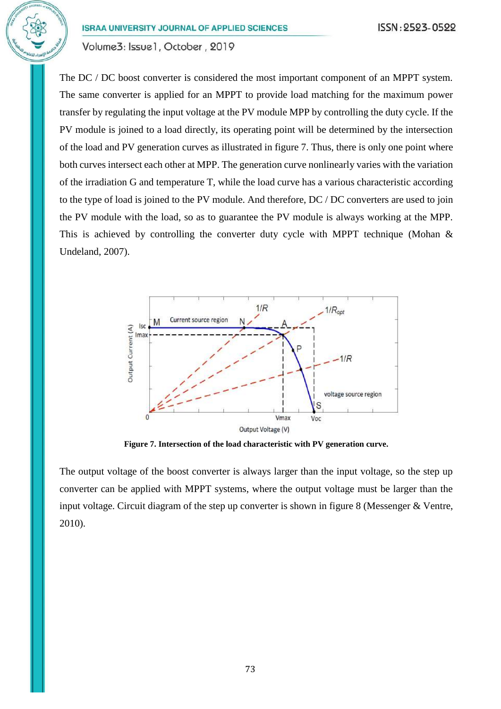The DC / DC boost converter is considered the most important component of an MPPT system. The same converter is applied for an MPPT to provide load matching for the maximum power transfer by regulating the input voltage at the PV module MPP by controlling the duty cycle. If the PV module is joined to a load directly, its operating point will be determined by the intersection of the load and PV generation curves as illustrated in figure 7. Thus, there is only one point where both curves intersect each other at MPP. The generation curve nonlinearly varies with the variation of the irradiation G and temperature T, while the load curve has a various characteristic according to the type of load is joined to the PV module. And therefore, DC / DC converters are used to join the PV module with the load, so as to guarantee the PV module is always working at the MPP. This is achieved by controlling the converter duty cycle with MPPT technique (Mohan  $\&$ [Undeland, 2007\)](#page-23-7).



**Figure 7. Intersection of the load characteristic with PV generation curve.**

The output voltage of the boost converter is always larger than the input voltage, so the step up converter can be applied with MPPT systems, where the output voltage must be larger than the input voltage. Circuit diagram of the step up converter is shown in figure 8 [\(Messenger & Ventre,](#page-23-8)  [2010\)](#page-23-8).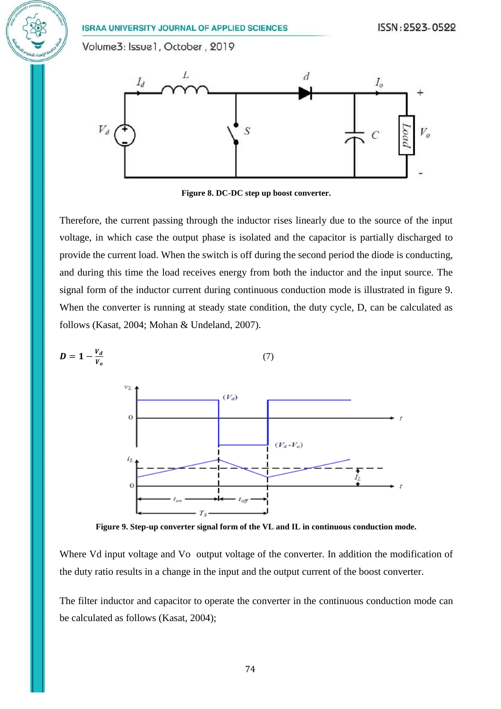Volume3: Issue1, October, 2019



**Figure 8. DC-DC step up boost converter.**

Therefore, the current passing through the inductor rises linearly due to the source of the input voltage, in which case the output phase is isolated and the capacitor is partially discharged to provide the current load. When the switch is off during the second period the diode is conducting, and during this time the load receives energy from both the inductor and the input source. The signal form of the inductor current during continuous conduction mode is illustrated in figure 9. When the converter is running at steady state condition, the duty cycle, D, can be calculated as follows [\(Kasat, 2004;](#page-23-9) [Mohan & Undeland, 2007\)](#page-23-7).



**Figure 9. Step-up converter signal form of the VL and IL in continuous conduction mode.**

Where Vd input voltage and Vo output voltage of the converter. In addition the modification of the duty ratio results in a change in the input and the output current of the boost converter.

The filter inductor and capacitor to operate the converter in the continuous conduction mode can be calculated as follows [\(Kasat, 2004\)](#page-23-9);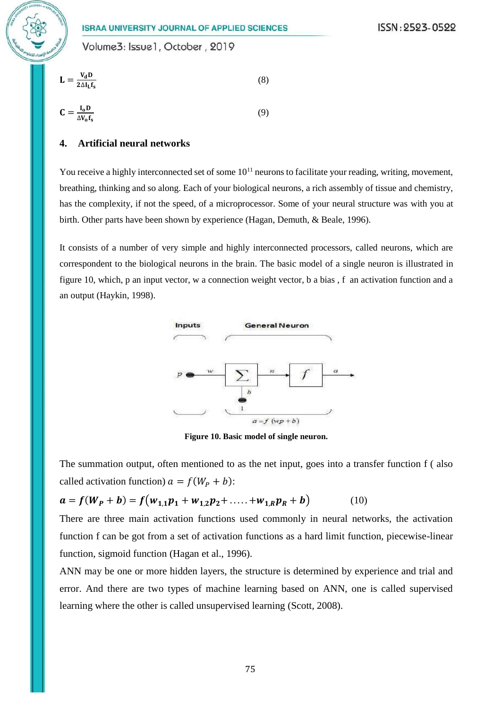

$$
\mathbf{L} = \frac{\mathbf{v}_{\mathbf{d}} \mathbf{D}}{2\Delta \mathbf{I}_{\mathbf{L}} \mathbf{f}_{\mathbf{s}}} \tag{8}
$$

$$
\mathbf{C} = \frac{\mathbf{I}_0 \mathbf{D}}{\Delta V_0 \mathbf{f}_s} \tag{9}
$$

## **4. Artificial neural networks**

You receive a highly interconnected set of some  $10^{11}$  neurons to facilitate your reading, writing, movement, breathing, thinking and so along. Each of your biological neurons, a rich assembly of tissue and chemistry, has the complexity, if not the speed, of a microprocessor. Some of your neural structure was with you at birth. Other parts have been shown by experience [\(Hagan, Demuth, & Beale, 1996\)](#page-23-10).

It consists of a number of very simple and highly interconnected processors, called neurons, which are correspondent to the biological neurons in the brain. The basic model of a single neuron is illustrated in figure 10, which, p an input vector, w a connection weight vector, b a bias , f an activation function and a an output [\(Haykin, 1998\)](#page-23-11).



**Figure 10. Basic model of single neuron.**

The summation output, often mentioned to as the net input, goes into a transfer function f ( also called activation function)  $a = f(W_P + b)$ :

$$
a = f(W_P + b) = f(w_{1,1}p_1 + w_{1,2}p_2 + \dots + w_{1,R}p_R + b)
$$
 (10)

There are three main activation functions used commonly in neural networks, the activation function f can be got from a set of activation functions as a hard limit function, piecewise-linear function, sigmoid function [\(Hagan et al., 1996\)](#page-23-10).

ANN may be one or more hidden layers, the structure is determined by experience and trial and error. And there are two types of machine learning based on ANN, one is called supervised learning where the other is called unsupervised learning [\(Scott, 2008\)](#page-23-12).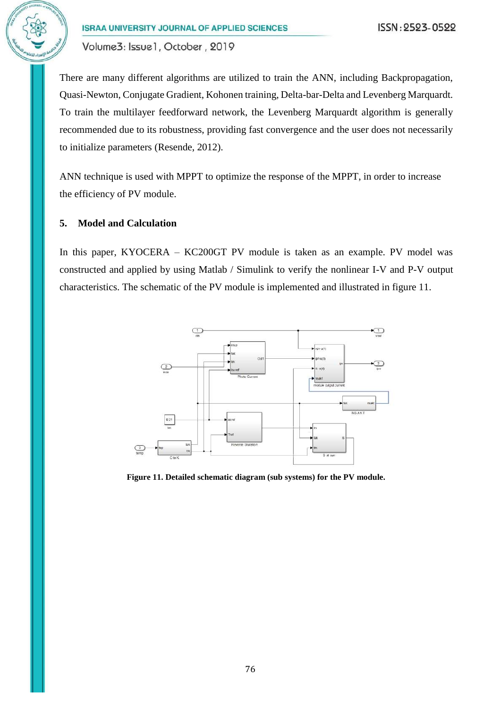Volume3: Issue1, October, 2019

There are many different algorithms are utilized to train the ANN, including Backpropagation, Quasi-Newton, Conjugate Gradient, Kohonen training, Delta-bar-Delta and Levenberg Marquardt. To train the multilayer feedforward network, the Levenberg Marquardt algorithm is generally recommended due to its robustness, providing fast convergence and the user does not necessarily to initialize parameters [\(Resende, 2012\)](#page-23-13).

ANN technique is used with MPPT to optimize the response of the MPPT, in order to increase the efficiency of PV module.

## **5. Model and Calculation**

In this paper, KYOCERA – KC200GT PV module is taken as an example. PV model was constructed and applied by using Matlab / Simulink to verify the nonlinear I-V and P-V output characteristics. The schematic of the PV module is implemented and illustrated in figure 11.



**Figure 11. Detailed schematic diagram (sub systems) for the PV module.**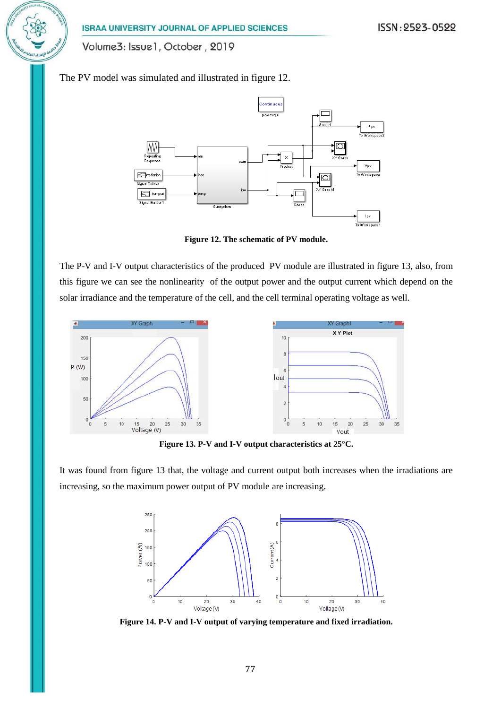Volume3: Issue1, October, 2019

The PV model was simulated and illustrated in figure 12.



**Figure 12. The schematic of PV module.**

The P-V and I-V output characteristics of the produced PV module are illustrated in figure 13, also, from this figure we can see the nonlinearity of the output power and the output current which depend on the solar irradiance and the temperature of the cell, and the cell terminal operating voltage as well.



**Figure 13. P-V and I-V output characteristics at 25°C.**

It was found from figure 13 that, the voltage and current output both increases when the irradiations are increasing, so the maximum power output of PV module are increasing.



**Figure 14. P-V and I-V output of varying temperature and fixed irradiation.**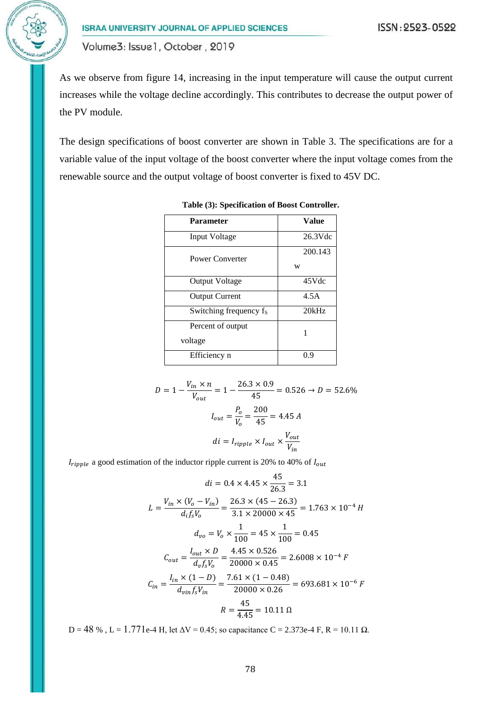As we observe from figure 14, increasing in the input temperature will cause the output current increases while the voltage decline accordingly. This contributes to decrease the output power of the PV module.

The design specifications of boost converter are shown in Table 3. The specifications are for a variable value of the input voltage of the boost converter where the input voltage comes from the renewable source and the output voltage of boost converter is fixed to 45V DC.

| <b>Parameter</b>             | Value        |
|------------------------------|--------------|
| Input Voltage                | $26.3$ Vdc   |
| Power Converter              | 200.143<br>w |
| <b>Output Voltage</b>        | 45Vdc        |
| <b>Output Current</b>        | 4.5A         |
| Switching frequency fs       | 20kHz        |
| Percent of output<br>voltage | 1            |
| Efficiency n                 | () Q         |

**Table (3): Specification of Boost Controller.**

$$
D = 1 - \frac{V_{in} \times n}{V_{out}} = 1 - \frac{26.3 \times 0.9}{45} = 0.526 \to D = 52.6\%
$$

$$
I_{out} = \frac{P_o}{V_o} = \frac{200}{45} = 4.45 A
$$

$$
di = I_{ripple} \times I_{out} \times \frac{V_{out}}{V_{in}}
$$

 $I_{riiple}$  a good estimation of the inductor ripple current is 20% to 40% of  $I_{out}$ 

$$
di = 0.4 \times 4.45 \times \frac{45}{26.3} = 3.1
$$
  
\n
$$
L = \frac{V_{in} \times (V_o - V_{in})}{d_i f_s V_o} = \frac{26.3 \times (45 - 26.3)}{3.1 \times 20000 \times 45} = 1.763 \times 10^{-4} \text{ H}
$$
  
\n
$$
d_{vo} = V_o \times \frac{1}{100} = 45 \times \frac{1}{100} = 0.45
$$
  
\n
$$
C_{out} = \frac{I_{out} \times D}{d_v f_s V_o} = \frac{4.45 \times 0.526}{20000 \times 0.45} = 2.6008 \times 10^{-4} \text{ F}
$$
  
\n
$$
C_{in} = \frac{I_{in} \times (1 - D)}{d_{vin} f_s V_{in}} = \frac{7.61 \times (1 - 0.48)}{20000 \times 0.26} = 693.681 \times 10^{-6} \text{ F}
$$
  
\n
$$
R = \frac{45}{4.45} = 10.11 \text{ }\Omega
$$

 $D = 48$  %,  $L = 1.771e-4$  H, let  $ΔV = 0.45$ ; so capacitance  $C = 2.373e-4$  F,  $R = 10.11$  Ω.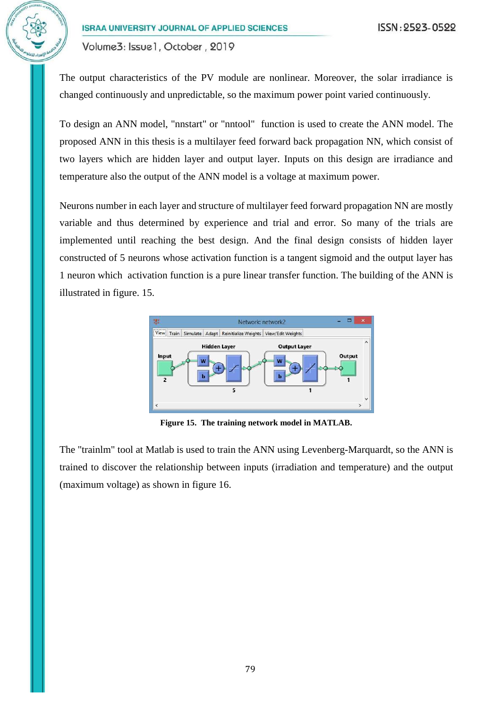The output characteristics of the PV module are nonlinear. Moreover, the solar irradiance is changed continuously and unpredictable, so the maximum power point varied continuously.

To design an ANN model, "nnstart" or "nntool" function is used to create the ANN model. The proposed ANN in this thesis is a multilayer feed forward back propagation NN, which consist of two layers which are hidden layer and output layer. Inputs on this design are irradiance and temperature also the output of the ANN model is a voltage at maximum power.

Neurons number in each layer and structure of multilayer feed forward propagation NN are mostly variable and thus determined by experience and trial and error. So many of the trials are implemented until reaching the best design. And the final design consists of hidden layer constructed of 5 neurons whose activation function is a tangent sigmoid and the output layer has 1 neuron which activation function is a pure linear transfer function. The building of the ANN is illustrated in figure. 15.



**Figure 15. The training network model in MATLAB.**

The "trainlm" tool at Matlab is used to train the ANN using Levenberg-Marquardt, so the ANN is trained to discover the relationship between inputs (irradiation and temperature) and the output (maximum voltage) as shown in figure 16.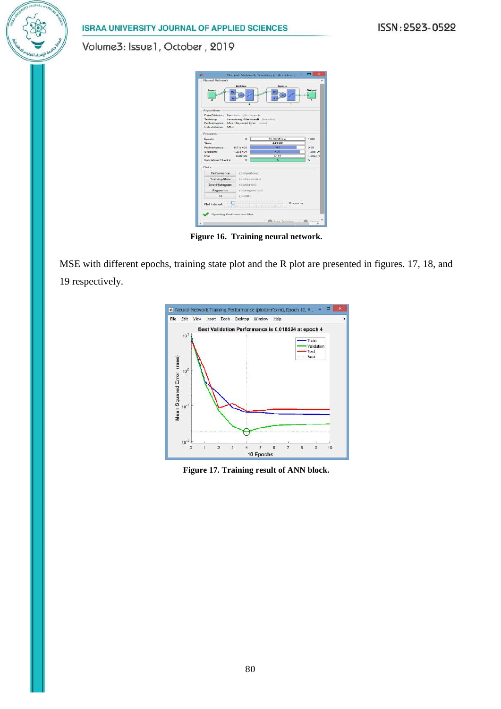ISSN: 2523-0522

**ISRAA UNIVERSITY JOURNAL OF APPLIED SCIENCES** 

Volume3: Issue1, October, 2019

| Neural Network<br><b>Insput</b><br>$\overline{z}$                                      | Hickley                       |                                                      | Quiput                          |           | <b>Output</b><br>Ŧ |
|----------------------------------------------------------------------------------------|-------------------------------|------------------------------------------------------|---------------------------------|-----------|--------------------|
| Algorithms<br>Data Division:<br><b>Training:</b><br><b>Berformance</b><br>Calculations | MEX                           | ×<br>Random (dividerand)<br>Mean Squared Error (msk) | Levenberg-Marquardt [trainim]   | Ŧ         |                    |
| Progress                                                                               |                               |                                                      |                                 |           |                    |
| Epoch                                                                                  | 16 iterations<br>$\mathbf{0}$ |                                                      |                                 | 1000      |                    |
| Time<br>Performance:<br>$8.31e + 03$<br>$1.23a + 04$<br>Gradieres                      |                               |                                                      | 0.00.00                         |           | 0.00               |
|                                                                                        |                               |                                                      | 10.2                            |           |                    |
|                                                                                        |                               |                                                      | 3.55                            |           | $1.00 + .02$       |
| 0.00100<br>Mir.<br>Validation Checks:                                                  |                               | $\alpha$                                             | 0.100<br>G                      |           | $1.00 + 11$<br>ń   |
|                                                                                        |                               |                                                      |                                 |           |                    |
| Plots                                                                                  |                               |                                                      |                                 |           |                    |
| Performance                                                                            |                               | <i><u><u>Epiotperforma</u></u></i>                   |                                 |           |                    |
| <b>Training State</b>                                                                  |                               | (plottrainstate)                                     |                                 |           |                    |
| Error Histocram                                                                        |                               | Gridderrhind                                         |                                 |           |                    |
| Regression                                                                             |                               |                                                      |                                 |           |                    |
|                                                                                        |                               | (plotregression).                                    |                                 |           |                    |
| Fit                                                                                    |                               | (plotik)                                             |                                 |           |                    |
| Plot Interval:                                                                         |                               |                                                      | <b>HATOLE SHIPPERS REPORTED</b> | 12 apochs |                    |
|                                                                                        |                               |                                                      |                                 |           |                    |

**Figure 16. Training neural network.**

MSE with different epochs, training state plot and the R plot are presented in figures. 17, 18, and 19 respectively.



**Figure 17. Training result of ANN block.**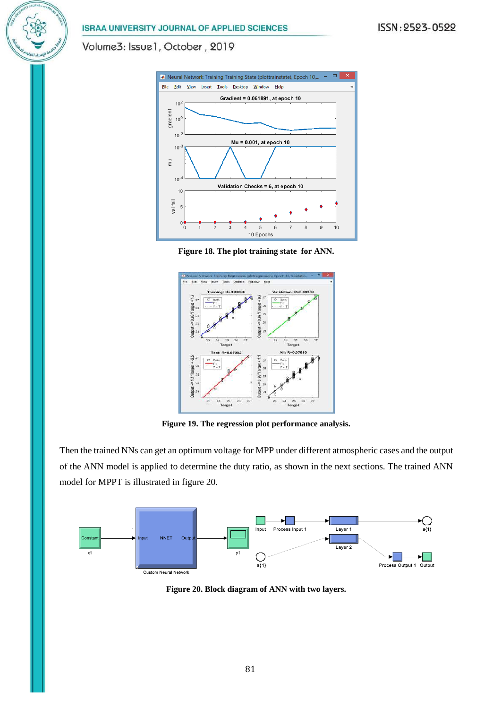Volume3: Issue1, October, 2019







**Figure 19. The regression plot performance analysis.**

Then the trained NNs can get an optimum voltage for MPP under different atmospheric cases and the output of the ANN model is applied to determine the duty ratio, as shown in the next sections. The trained ANN model for MPPT is illustrated in figure 20.



**Figure 20. Block diagram of ANN with two layers.**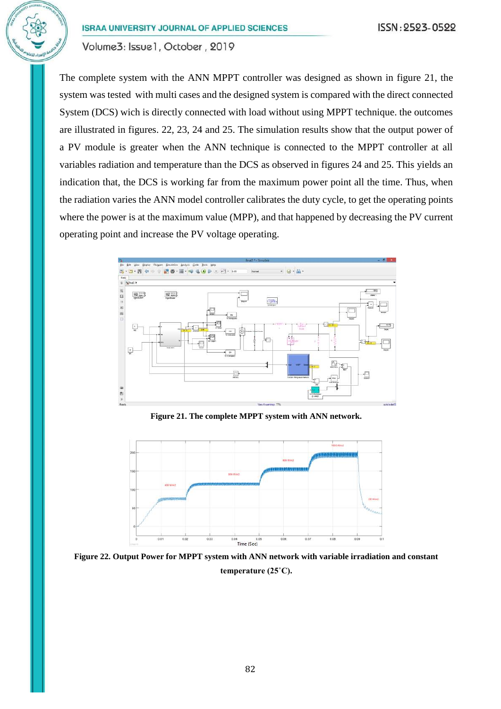The complete system with the ANN MPPT controller was designed as shown in figure 21, the system was tested with multi cases and the designed system is compared with the direct connected System (DCS) wich is directly connected with load without using MPPT technique. the outcomes are illustrated in figures. 22, 23, 24 and 25. The simulation results show that the output power of a PV module is greater when the ANN technique is connected to the MPPT controller at all variables radiation and temperature than the DCS as observed in figures 24 and 25. This yields an indication that, the DCS is working far from the maximum power point all the time. Thus, when the radiation varies the ANN model controller calibrates the duty cycle, to get the operating points where the power is at the maximum value (MPP), and that happened by decreasing the PV current operating point and increase the PV voltage operating.



**Figure 21. The complete MPPT system with ANN network.**



**Figure 22. Output Power for MPPT system with ANN network with variable irradiation and constant temperature (25˚C).**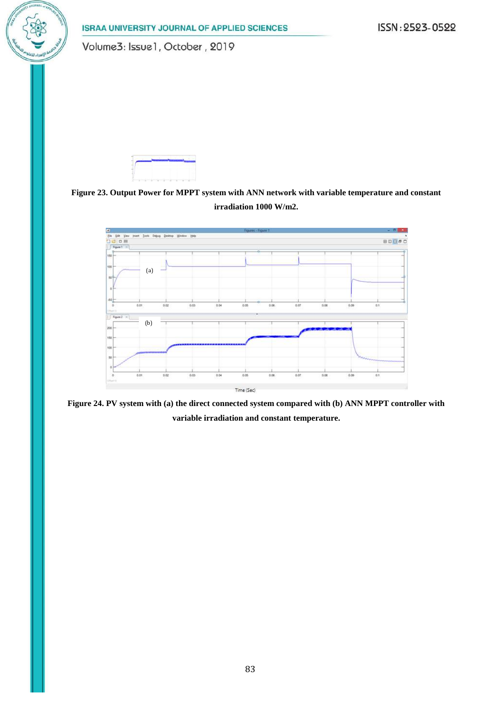ISSN: 2523-0522

**ISRAA UNIVERSITY JOURNAL OF APPLIED SCIENCES** 

Volume3: Issue1, October, 2019







**Figure 24. PV system with (a) the direct connected system compared with (b) ANN MPPT controller with variable irradiation and constant temperature.**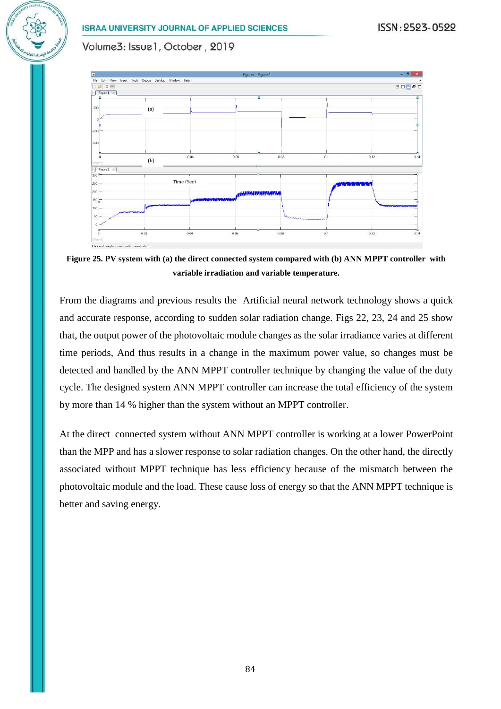#### ISSN: 2523-0522

#### **ISRAA UNIVERSITY JOURNAL OF APPLIED SCIENCES**

Volume3: Issue1, October, 2019



**Figure 25. PV system with (a) the direct connected system compared with (b) ANN MPPT controller with variable irradiation and variable temperature.**

From the diagrams and previous results the Artificial neural network technology shows a quick and accurate response, according to sudden solar radiation change. Figs 22, 23, 24 and 25 show that, the output power of the photovoltaic module changes as the solar irradiance varies at different time periods, And thus results in a change in the maximum power value, so changes must be detected and handled by the ANN MPPT controller technique by changing the value of the duty cycle. The designed system ANN MPPT controller can increase the total efficiency of the system by more than 14 % higher than the system without an MPPT controller.

At the direct connected system without ANN MPPT controller is working at a lower PowerPoint than the MPP and has a slower response to solar radiation changes. On the other hand, the directly associated without MPPT technique has less efficiency because of the mismatch between the photovoltaic module and the load. These cause loss of energy so that the ANN MPPT technique is better and saving energy.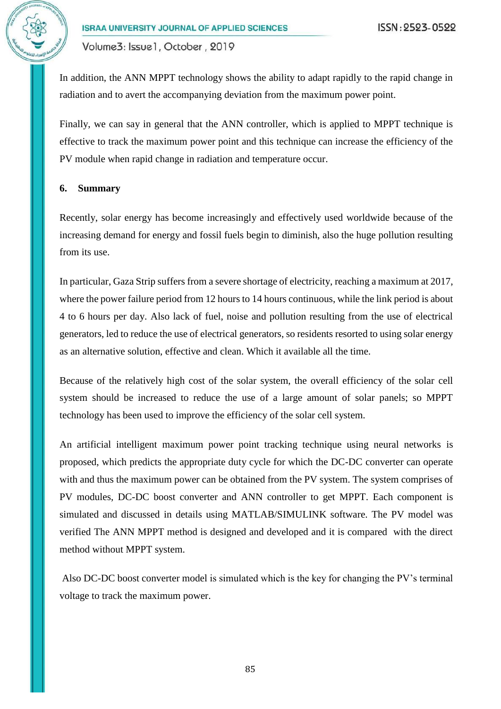In addition, the ANN MPPT technology shows the ability to adapt rapidly to the rapid change in radiation and to avert the accompanying deviation from the maximum power point.

Finally, we can say in general that the ANN controller, which is applied to MPPT technique is effective to track the maximum power point and this technique can increase the efficiency of the PV module when rapid change in radiation and temperature occur.

#### **6. Summary**

Recently, solar energy has become increasingly and effectively used worldwide because of the increasing demand for energy and fossil fuels begin to diminish, also the huge pollution resulting from its use.

In particular, Gaza Strip suffers from a severe shortage of electricity, reaching a maximum at 2017, where the power failure period from 12 hours to 14 hours continuous, while the link period is about 4 to 6 hours per day. Also lack of fuel, noise and pollution resulting from the use of electrical generators, led to reduce the use of electrical generators, so residents resorted to using solar energy as an alternative solution, effective and clean. Which it available all the time.

Because of the relatively high cost of the solar system, the overall efficiency of the solar cell system should be increased to reduce the use of a large amount of solar panels; so MPPT technology has been used to improve the efficiency of the solar cell system.

An artificial intelligent maximum power point tracking technique using neural networks is proposed, which predicts the appropriate duty cycle for which the DC-DC converter can operate with and thus the maximum power can be obtained from the PV system. The system comprises of PV modules, DC-DC boost converter and ANN controller to get MPPT. Each component is simulated and discussed in details using MATLAB/SIMULINK software. The PV model was verified The ANN MPPT method is designed and developed and it is compared with the direct method without MPPT system.

Also DC-DC boost converter model is simulated which is the key for changing the PV's terminal voltage to track the maximum power.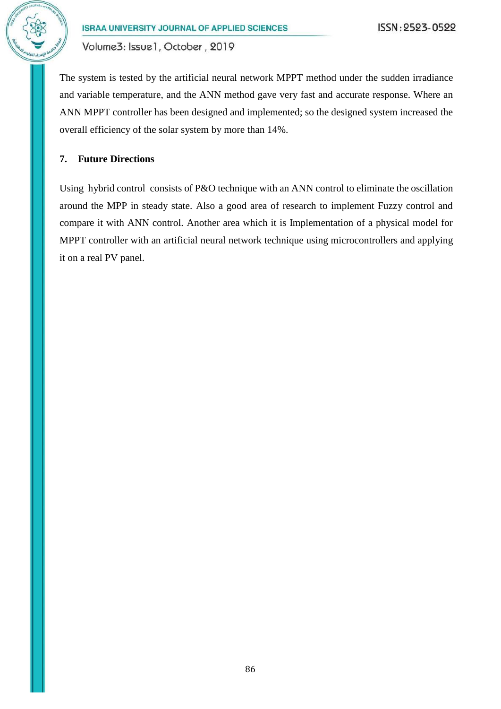

The system is tested by the artificial neural network MPPT method under the sudden irradiance and variable temperature, and the ANN method gave very fast and accurate response. Where an ANN MPPT controller has been designed and implemented; so the designed system increased the overall efficiency of the solar system by more than 14%.

## **7. Future Directions**

Using hybrid control consists of P&O technique with an ANN control to eliminate the oscillation around the MPP in steady state. Also a good area of research to implement Fuzzy control and compare it with ANN control. Another area which it is Implementation of a physical model for MPPT controller with an artificial neural network technique using microcontrollers and applying it on a real PV panel.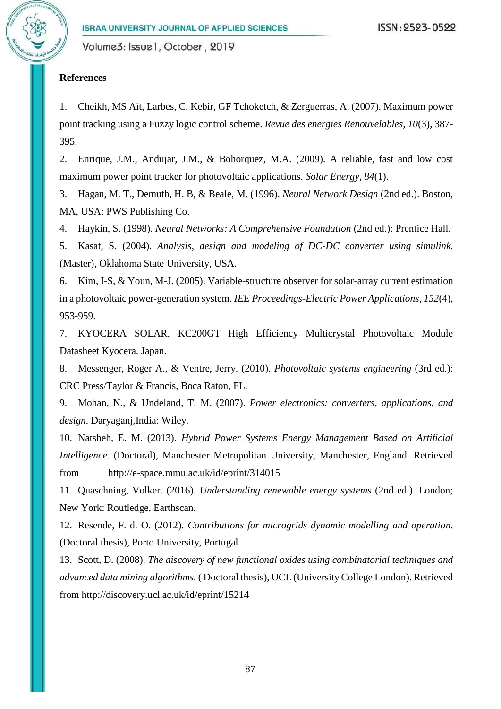#### **References**

<span id="page-23-5"></span>1. Cheikh, MS Aït, Larbes, C, Kebir, GF Tchoketch, & Zerguerras, A. (2007). Maximum power point tracking using a Fuzzy logic control scheme. *Revue des energies Renouvelables, 10*(3), 387- 395.

<span id="page-23-6"></span>2. Enrique, J.M., Andujar, J.M., & Bohorquez, M.A. (2009). A reliable, fast and low cost maximum power point tracker for photovoltaic applications. *Solar Energy, 84*(1).

<span id="page-23-10"></span>3. Hagan, M. T., Demuth, H. B, & Beale, M. (1996). *Neural Network Design* (2nd ed.). Boston, MA, USA: PWS Publishing Co.

<span id="page-23-11"></span>4. Haykin, S. (1998). *Neural Networks: A Comprehensive Foundation* (2nd ed.): Prentice Hall.

<span id="page-23-9"></span>5. Kasat, S. (2004). *Analysis, design and modeling of DC-DC converter using simulink.* (Master), Oklahoma State University, USA.

<span id="page-23-3"></span>6. Kim, I-S, & Youn, M-J. (2005). Variable-structure observer for solar-array current estimation in a photovoltaic power-generation system. *IEE Proceedings-Electric Power Applications, 152*(4), 953-959.

<span id="page-23-4"></span>7. KYOCERA SOLAR. KC200GT High Efficiency Multicrystal Photovoltaic Module Datasheet Kyocera. Japan.

<span id="page-23-8"></span>8. Messenger, Roger A., & Ventre, Jerry. (2010). *Photovoltaic systems engineering* (3rd ed.): CRC Press/Taylor & Francis, Boca Raton, FL.

<span id="page-23-7"></span>9. Mohan, N., & Undeland, T. M. (2007). *Power electronics: converters, applications, and design*. Daryaganj,India: Wiley.

<span id="page-23-1"></span>10. Natsheh, E. M. (2013). *Hybrid Power Systems Energy Management Based on Artificial Intelligence.* (Doctoral), Manchester Metropolitan University, Manchester, England. Retrieved from http://e-space.mmu.ac.uk/id/eprint/314015

<span id="page-23-0"></span>11. Quaschning, Volker. (2016). *Understanding renewable energy systems* (2nd ed.). London; New York: Routledge, Earthscan.

<span id="page-23-13"></span><span id="page-23-12"></span>12. Resende, F. d. O. (2012). *Contributions for microgrids dynamic modelling and operation.* (Doctoral thesis), Porto University, Portugal

<span id="page-23-2"></span>13. Scott, D. (2008). *The discovery of new functional oxides using combinatorial techniques and advanced data mining algorithms.* ( Doctoral thesis), UCL (University College London). Retrieved from http://discovery.ucl.ac.uk/id/eprint/15214